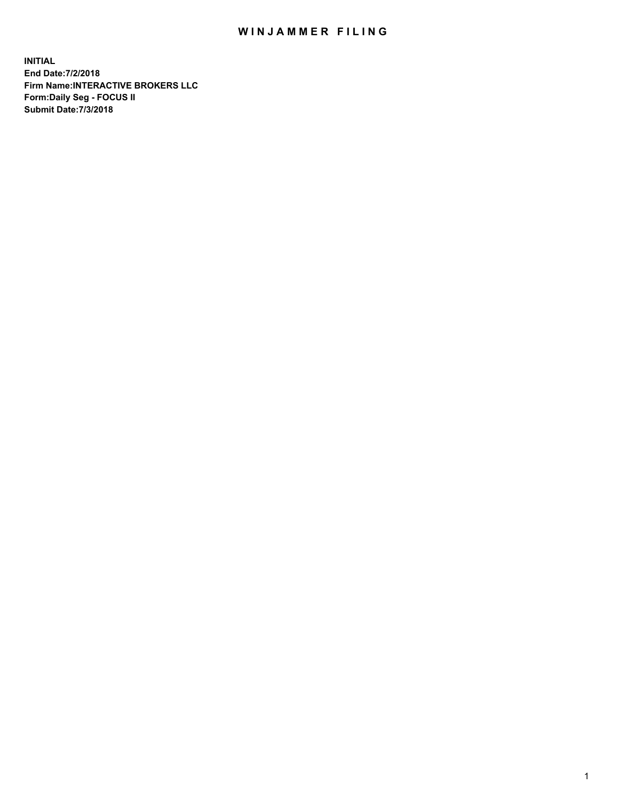## WIN JAMMER FILING

**INITIAL End Date:7/2/2018 Firm Name:INTERACTIVE BROKERS LLC Form:Daily Seg - FOCUS II Submit Date:7/3/2018**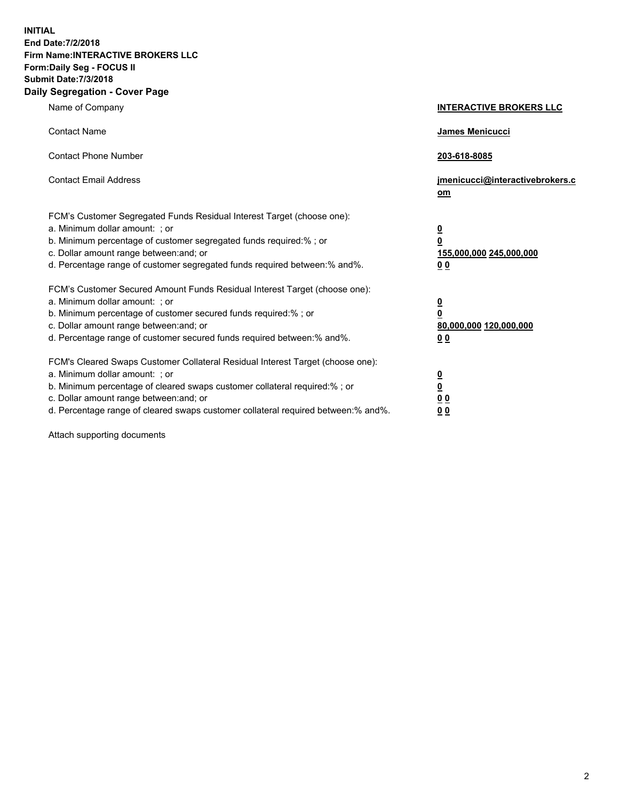**INITIAL End Date:7/2/2018 Firm Name:INTERACTIVE BROKERS LLC Form:Daily Seg - FOCUS II Submit Date:7/3/2018 Daily Segregation - Cover Page**

| Name of Company                                                                                                                                                                                                                                                                                                                | <b>INTERACTIVE BROKERS LLC</b>                                                      |
|--------------------------------------------------------------------------------------------------------------------------------------------------------------------------------------------------------------------------------------------------------------------------------------------------------------------------------|-------------------------------------------------------------------------------------|
| <b>Contact Name</b>                                                                                                                                                                                                                                                                                                            | James Menicucci                                                                     |
| <b>Contact Phone Number</b>                                                                                                                                                                                                                                                                                                    | 203-618-8085                                                                        |
| <b>Contact Email Address</b>                                                                                                                                                                                                                                                                                                   | jmenicucci@interactivebrokers.c<br>om                                               |
| FCM's Customer Segregated Funds Residual Interest Target (choose one):<br>a. Minimum dollar amount: ; or<br>b. Minimum percentage of customer segregated funds required:% ; or<br>c. Dollar amount range between: and; or<br>d. Percentage range of customer segregated funds required between:% and%.                         | $\overline{\mathbf{0}}$<br>$\overline{\mathbf{0}}$<br>155,000,000 245,000,000<br>00 |
| FCM's Customer Secured Amount Funds Residual Interest Target (choose one):<br>a. Minimum dollar amount: ; or<br>b. Minimum percentage of customer secured funds required:%; or<br>c. Dollar amount range between: and; or<br>d. Percentage range of customer secured funds required between:% and%.                            | $\overline{\mathbf{0}}$<br>0<br>80,000,000 120,000,000<br>00                        |
| FCM's Cleared Swaps Customer Collateral Residual Interest Target (choose one):<br>a. Minimum dollar amount: ; or<br>b. Minimum percentage of cleared swaps customer collateral required:% ; or<br>c. Dollar amount range between: and; or<br>d. Percentage range of cleared swaps customer collateral required between:% and%. | <u>0</u><br><u>0</u><br>0 <sub>0</sub><br>0 <sub>0</sub>                            |

Attach supporting documents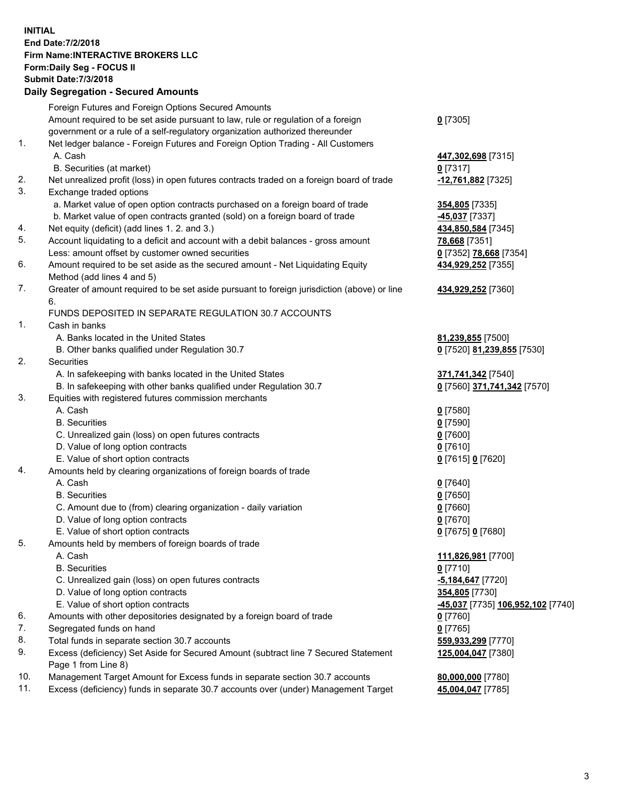**INITIAL End Date:7/2/2018 Firm Name:INTERACTIVE BROKERS LLC Form:Daily Seg - FOCUS II Submit Date:7/3/2018 Daily Segregation - Secured Amounts**

|     | Foreign Futures and Foreign Options Secured Amounts                                         |                                                 |
|-----|---------------------------------------------------------------------------------------------|-------------------------------------------------|
|     | Amount required to be set aside pursuant to law, rule or regulation of a foreign            | $0$ [7305]                                      |
|     | government or a rule of a self-regulatory organization authorized thereunder                |                                                 |
| 1.  | Net ledger balance - Foreign Futures and Foreign Option Trading - All Customers             |                                                 |
|     | A. Cash                                                                                     | 447,302,698 [7315]                              |
|     | B. Securities (at market)                                                                   | 0 [7317]                                        |
| 2.  | Net unrealized profit (loss) in open futures contracts traded on a foreign board of trade   | <u>-12,761,882</u> [7325]                       |
| 3.  | Exchange traded options                                                                     |                                                 |
|     | a. Market value of open option contracts purchased on a foreign board of trade              | 354,805 [7335]                                  |
|     | b. Market value of open contracts granted (sold) on a foreign board of trade                | <b>-45,037</b> [7337]                           |
| 4.  | Net equity (deficit) (add lines 1.2. and 3.)                                                | 434,850,584 [7345]                              |
| 5.  | Account liquidating to a deficit and account with a debit balances - gross amount           | 78,668 [7351]                                   |
|     | Less: amount offset by customer owned securities                                            | 0 [7352] 78,668 [7354]                          |
| 6.  | Amount required to be set aside as the secured amount - Net Liquidating Equity              | 434,929,252 [7355]                              |
|     | Method (add lines 4 and 5)                                                                  |                                                 |
| 7.  | Greater of amount required to be set aside pursuant to foreign jurisdiction (above) or line | 434,929,252 [7360]                              |
|     | 6.                                                                                          |                                                 |
|     | FUNDS DEPOSITED IN SEPARATE REGULATION 30.7 ACCOUNTS                                        |                                                 |
| 1.  | Cash in banks                                                                               |                                                 |
|     | A. Banks located in the United States                                                       | 81,239,855 [7500]                               |
|     | B. Other banks qualified under Regulation 30.7                                              | 0 [7520] 81,239,855 [7530]                      |
| 2.  | Securities                                                                                  |                                                 |
|     | A. In safekeeping with banks located in the United States                                   | 371,741,342 [7540]                              |
|     | B. In safekeeping with other banks qualified under Regulation 30.7                          | 0 [7560] 371,741,342 [7570]                     |
| 3.  | Equities with registered futures commission merchants                                       |                                                 |
|     | A. Cash                                                                                     | $0$ [7580]                                      |
|     | <b>B.</b> Securities                                                                        | $0$ [7590]                                      |
|     | C. Unrealized gain (loss) on open futures contracts                                         | $0$ [7600]                                      |
|     | D. Value of long option contracts                                                           | $0$ [7610]                                      |
|     | E. Value of short option contracts                                                          | 0 [7615] 0 [7620]                               |
| 4.  | Amounts held by clearing organizations of foreign boards of trade                           |                                                 |
|     | A. Cash                                                                                     | $0$ [7640]                                      |
|     | <b>B.</b> Securities                                                                        | $0$ [7650]                                      |
|     | C. Amount due to (from) clearing organization - daily variation                             | $0$ [7660]                                      |
|     | D. Value of long option contracts                                                           | $0$ [7670]                                      |
|     | E. Value of short option contracts                                                          | 0 [7675] 0 [7680]                               |
| 5.  | Amounts held by members of foreign boards of trade                                          |                                                 |
|     | A. Cash                                                                                     | 111,826,981 [7700]                              |
|     | <b>B.</b> Securities                                                                        | $0$ [7710]                                      |
|     | C. Unrealized gain (loss) on open futures contracts                                         | -5,184,647 <sup>[7720]</sup>                    |
|     | D. Value of long option contracts                                                           | 354,805 [7730]                                  |
|     | E. Value of short option contracts                                                          | <u>-45,037</u> [7735] <u>106,952,102</u> [7740] |
| 6.  | Amounts with other depositories designated by a foreign board of trade                      | 0 [7760]                                        |
| 7.  | Segregated funds on hand                                                                    | $0$ [7765]                                      |
| 8.  | Total funds in separate section 30.7 accounts                                               | 559,933,299 [7770]                              |
| 9.  | Excess (deficiency) Set Aside for Secured Amount (subtract line 7 Secured Statement         | 125,004,047 [7380]                              |
|     | Page 1 from Line 8)                                                                         |                                                 |
| 10. | Management Target Amount for Excess funds in separate section 30.7 accounts                 | 80,000,000 [7780]                               |
| 11. | Excess (deficiency) funds in separate 30.7 accounts over (under) Management Target          | 45,004,047 [7785]                               |
|     |                                                                                             |                                                 |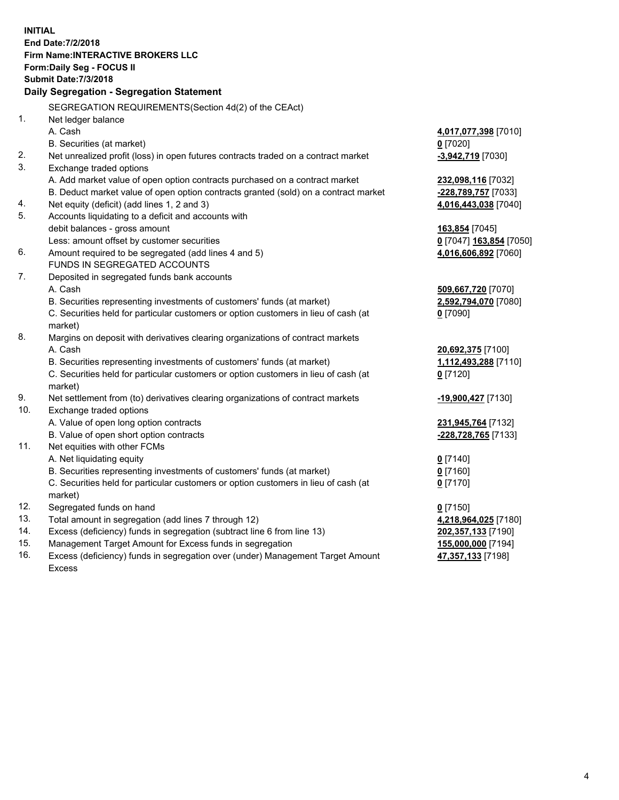**INITIAL End Date:7/2/2018 Firm Name:INTERACTIVE BROKERS LLC Form:Daily Seg - FOCUS II Submit Date:7/3/2018 Daily Segregation - Segregation Statement** SEGREGATION REQUIREMENTS(Section 4d(2) of the CEAct) 1. Net ledger balance A. Cash **4,017,077,398** [7010] B. Securities (at market) **0** [7020] 2. Net unrealized profit (loss) in open futures contracts traded on a contract market **-3,942,719** [7030] 3. Exchange traded options A. Add market value of open option contracts purchased on a contract market **232,098,116** [7032] B. Deduct market value of open option contracts granted (sold) on a contract market **-228,789,757** [7033] 4. Net equity (deficit) (add lines 1, 2 and 3) **4,016,443,038** [7040] 5. Accounts liquidating to a deficit and accounts with debit balances - gross amount **163,854** [7045] Less: amount offset by customer securities **0** [7047] **163,854** [7050] 6. Amount required to be segregated (add lines 4 and 5) **4,016,606,892** [7060] FUNDS IN SEGREGATED ACCOUNTS 7. Deposited in segregated funds bank accounts A. Cash **509,667,720** [7070] B. Securities representing investments of customers' funds (at market) **2,592,794,070** [7080] C. Securities held for particular customers or option customers in lieu of cash (at market) **0** [7090] 8. Margins on deposit with derivatives clearing organizations of contract markets A. Cash **20,692,375** [7100] B. Securities representing investments of customers' funds (at market) **1,112,493,288** [7110] C. Securities held for particular customers or option customers in lieu of cash (at market) **0** [7120] 9. Net settlement from (to) derivatives clearing organizations of contract markets **-19,900,427** [7130] 10. Exchange traded options A. Value of open long option contracts **231,945,764** [7132] B. Value of open short option contracts **-228,728,765** [7133] 11. Net equities with other FCMs A. Net liquidating equity **0** [7140] B. Securities representing investments of customers' funds (at market) **0** [7160] C. Securities held for particular customers or option customers in lieu of cash (at market) **0** [7170] 12. Segregated funds on hand **0** [7150] 13. Total amount in segregation (add lines 7 through 12) **4,218,964,025** [7180] 14. Excess (deficiency) funds in segregation (subtract line 6 from line 13) **202,357,133** [7190] 15. Management Target Amount for Excess funds in segregation **155,000,000** [7194] **47,357,133** [7198]

16. Excess (deficiency) funds in segregation over (under) Management Target Amount Excess